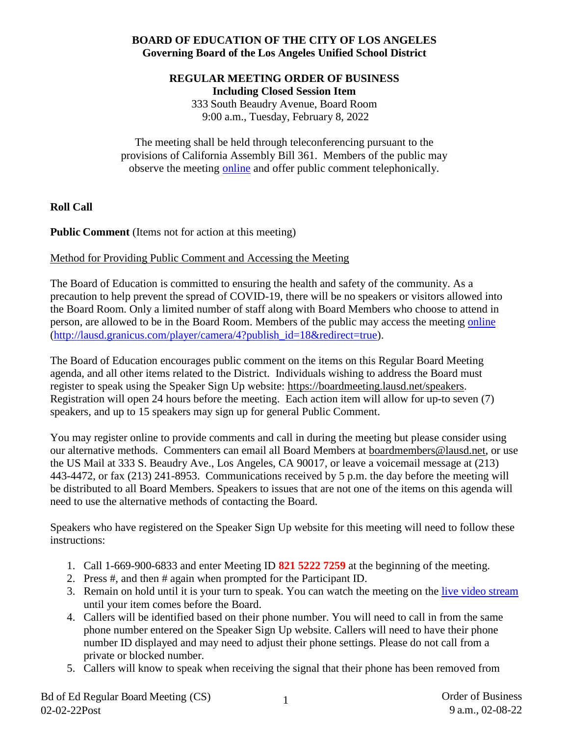# **BOARD OF EDUCATION OF THE CITY OF LOS ANGELES Governing Board of the Los Angeles Unified School District**

## **REGULAR MEETING ORDER OF BUSINESS Including Closed Session Item**

333 South Beaudry Avenue, Board Room 9:00 a.m., Tuesday, February 8, 2022

The meeting shall be held through teleconferencing pursuant to the provisions of California Assembly Bill 361. Members of the public may observe the meeting [online](http://lausd.granicus.com/player/camera/4?publish_id=18&redirect=true) and offer public comment telephonically.

**Roll Call**

**Public Comment** (Items not for action at this meeting)

# Method for Providing Public Comment and Accessing the Meeting

The Board of Education is committed to ensuring the health and safety of the community. As a precaution to help prevent the spread of COVID-19, there will be no speakers or visitors allowed into the Board Room. Only a limited number of staff along with Board Members who choose to attend in person, are allowed to be in the Board Room. Members of the public may access the meeting [online](http://lausd.granicus.com/player/camera/4?publish_id=18&redirect=true) [\(http://lausd.granicus.com/player/camera/4?publish\\_id=18&redirect=true\)](http://lausd.granicus.com/player/camera/4?publish_id=18&redirect=true).

The Board of Education encourages public comment on the items on this Regular Board Meeting agenda, and all other items related to the District. Individuals wishing to address the Board must register to speak using the Speaker Sign Up website: [https://boardmeeting.lausd.net/speakers.](https://boardmeeting.lausd.net/speakers) Registration will open 24 hours before the meeting. Each action item will allow for up-to seven (7) speakers, and up to 15 speakers may sign up for general Public Comment.

You may register online to provide comments and call in during the meeting but please consider using our alternative methods. Commenters can email all Board Members at [boardmembers@lausd.net,](mailto:boardmembers@lausd.net) or use the US Mail at 333 S. Beaudry Ave., Los Angeles, CA 90017, or leave a voicemail message at (213) 443-4472, or fax (213) 241-8953. Communications received by 5 p.m. the day before the meeting will be distributed to all Board Members. Speakers to issues that are not one of the items on this agenda will need to use the alternative methods of contacting the Board.

Speakers who have registered on the Speaker Sign Up website for this meeting will need to follow these instructions:

- 1. Call 1-669-900-6833 and enter Meeting ID **821 5222 7259** at the beginning of the meeting.
- 2. Press #, and then # again when prompted for the Participant ID.
- 3. Remain on hold until it is your turn to speak. You can watch the meeting on the [live video stream](http://lausd.granicus.com/player/camera/4?publish_id=18&redirect=true) until your item comes before the Board.
- 4. Callers will be identified based on their phone number. You will need to call in from the same phone number entered on the Speaker Sign Up website. Callers will need to have their phone number ID displayed and may need to adjust their phone settings. Please do not call from a private or blocked number.
- 5. Callers will know to speak when receiving the signal that their phone has been removed from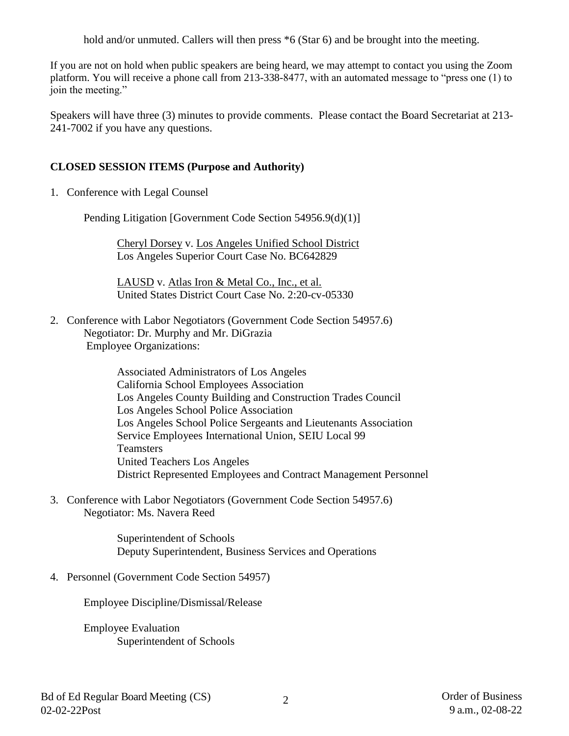hold and/or unmuted. Callers will then press  $*6$  (Star 6) and be brought into the meeting.

If you are not on hold when public speakers are being heard, we may attempt to contact you using the Zoom platform. You will receive a phone call from 213-338-8477, with an automated message to "press one (1) to join the meeting."

Speakers will have three (3) minutes to provide comments. Please contact the Board Secretariat at 213- 241-7002 if you have any questions.

# **CLOSED SESSION ITEMS (Purpose and Authority)**

1. Conference with Legal Counsel

Pending Litigation [Government Code Section 54956.9(d)(1)]

Cheryl Dorsey v. Los Angeles Unified School District Los Angeles Superior Court Case No. BC642829

LAUSD v. Atlas Iron & Metal Co., Inc., et al. United States District Court Case No. 2:20-cv-05330

2. Conference with Labor Negotiators (Government Code Section 54957.6) Negotiator: Dr. Murphy and Mr. DiGrazia Employee Organizations:

> Associated Administrators of Los Angeles California School Employees Association Los Angeles County Building and Construction Trades Council Los Angeles School Police Association Los Angeles School Police Sergeants and Lieutenants Association Service Employees International Union, SEIU Local 99 **Teamsters** United Teachers Los Angeles District Represented Employees and Contract Management Personnel

3. Conference with Labor Negotiators (Government Code Section 54957.6) Negotiator: Ms. Navera Reed

> Superintendent of Schools Deputy Superintendent, Business Services and Operations

4. Personnel (Government Code Section 54957)

Employee Discipline/Dismissal/Release

Employee Evaluation Superintendent of Schools